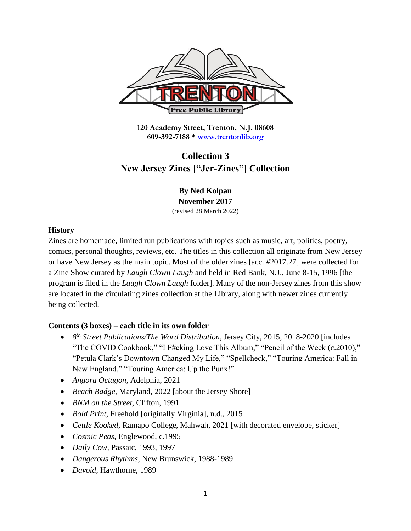

**120 Academy Street, Trenton, N.J. 08608 609-392-7188 \* [www.trentonlib.org](http://www.trentonlib.org/)**

## **Collection 3 New Jersey Zines ["Jer-Zines"] Collection**

**By Ned Kolpan November 2017** (revised 28 March 2022)

## **History**

Zines are homemade, limited run publications with topics such as music, art, politics, poetry, comics, personal thoughts, reviews, etc. The titles in this collection all originate from New Jersey or have New Jersey as the main topic. Most of the older zines [acc. #2017.27] were collected for a Zine Show curated by *Laugh Clown Laugh* and held in Red Bank, N.J., June 8-15, 1996 [the program is filed in the *Laugh Clown Laugh* folder]. Many of the non-Jersey zines from this show are located in the circulating zines collection at the Library, along with newer zines currently being collected.

## **Contents (3 boxes) – each title in its own folder**

- 8<sup>th</sup> Street Publications/The Word Distribution, Jersey City, 2015, 2018-2020 [includes "The COVID Cookbook," "I F#cking Love This Album," "Pencil of the Week (c.2010)," "Petula Clark's Downtown Changed My Life," "Spellcheck," "Touring America: Fall in New England," "Touring America: Up the Punx!"
- *Angora Octagon,* Adelphia, 2021
- *Beach Badge,* Maryland, 2022 [about the Jersey Shore]
- *BNM on the Street,* Clifton, 1991
- *Bold Print,* Freehold [originally Virginia], n.d., 2015
- *Cettle Kooked,* Ramapo College, Mahwah, 2021 [with decorated envelope, sticker]
- *Cosmic Peas,* Englewood, c.1995
- *Daily Cow,* Passaic, 1993, 1997
- *Dangerous Rhythms,* New Brunswick, 1988-1989
- *Davoid,* Hawthorne, 1989